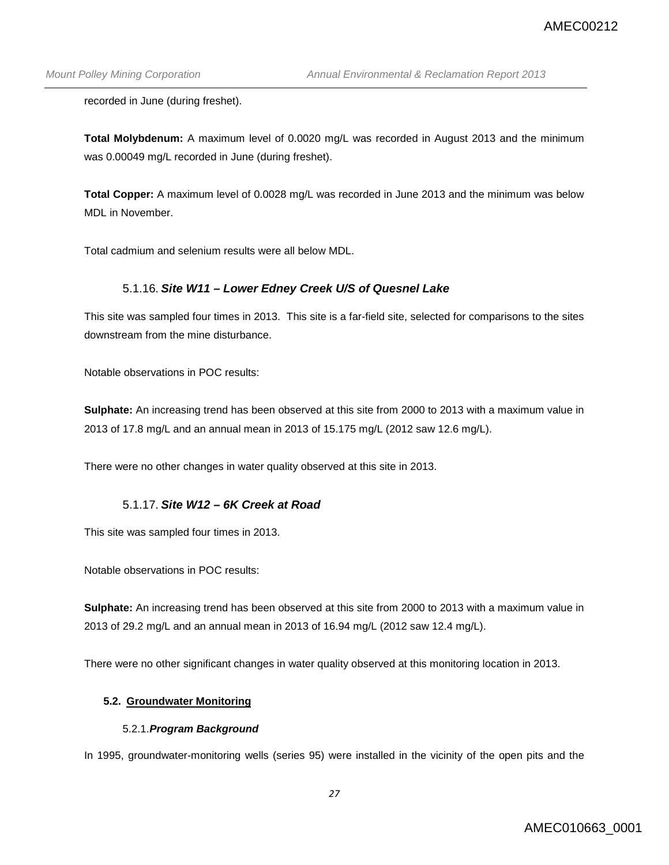recorded in June (during freshet).

**Total Molybdenum:** A maximum level of 0.0020 mg/L was recorded in August 2013 and the minimum was 0.00049 mg/L recorded in June (during freshet).

**Total Copper:** A maximum level of 0.0028 mg/L was recorded in June 2013 and the minimum was below MDL in November.

Total cadmium and selenium results were all below MDL.

# 5.1.16. *Site W11 – Lower Edney Creek U/S of Quesnel Lake*

This site was sampled four times in 2013. This site is a far-field site, selected for comparisons to the sites downstream from the mine disturbance.

Notable observations in POC results:

**Sulphate:** An increasing trend has been observed at this site from 2000 to 2013 with a maximum value in 2013 of 17.8 mg/L and an annual mean in 2013 of 15.175 mg/L (2012 saw 12.6 mg/L).

There were no other changes in water quality observed at this site in 2013.

### 5.1.17. *Site W12 – 6K Creek at Road*

This site was sampled four times in 2013.

Notable observations in POC results:

**Sulphate:** An increasing trend has been observed at this site from 2000 to 2013 with a maximum value in 2013 of 29.2 mg/L and an annual mean in 2013 of 16.94 mg/L (2012 saw 12.4 mg/L).

There were no other significant changes in water quality observed at this monitoring location in 2013.

### **5.2. Groundwater Monitoring**

#### 5.2.1.*Program Background*

In 1995, groundwater-monitoring wells (series 95) were installed in the vicinity of the open pits and the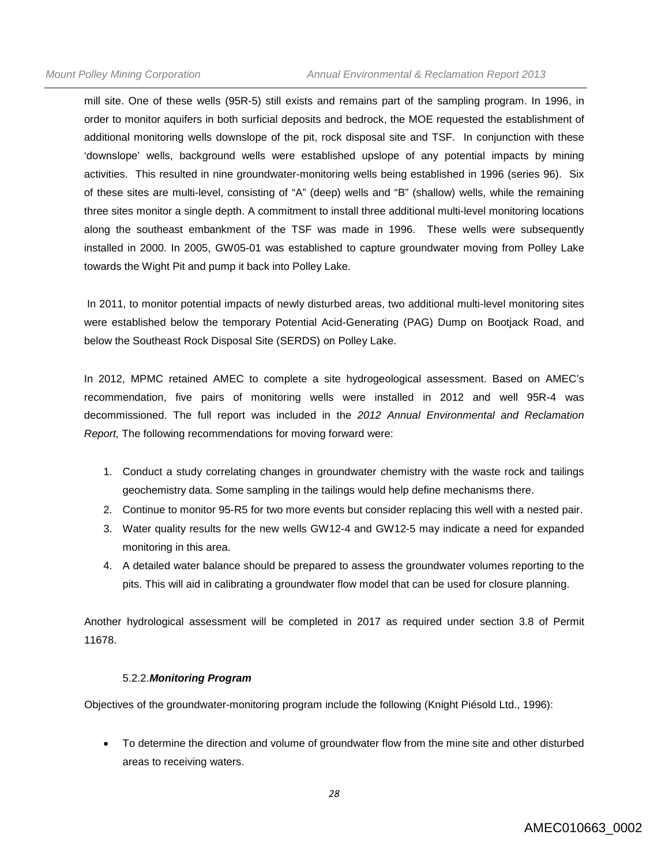mill site. One of these wells (95R-5) still exists and remains part of the sampling program. In 1996, in order to monitor aquifers in both surficial deposits and bedrock, the MOE requested the establishment of additional monitoring wells downslope of the pit, rock disposal site and TSF. In conjunction with these 'downslope' wells, background wells were established upslope of any potential impacts by mining activities. This resulted in nine groundwater-monitoring wells being established in 1996 (series 96). Six of these sites are multi-level, consisting of "A" (deep) wells and "B" (shallow) wells, while the remaining three sites monitor a single depth. A commitment to install three additional multi-level monitoring locations along the southeast embankment of the TSF was made in 1996. These wells were subsequently installed in 2000. In 2005, GW05-01 was established to capture groundwater moving from Polley Lake towards the Wight Pit and pump it back into Polley Lake.

In 2011, to monitor potential impacts of newly disturbed areas, two additional multi-level monitoring sites were established below the temporary Potential Acid-Generating (PAG) Dump on Bootjack Road, and below the Southeast Rock Disposal Site (SERDS) on Polley Lake.

In 2012, MPMC retained AMEC to complete a site hydrogeological assessment. Based on AMEC's recommendation, five pairs of monitoring wells were installed in 2012 and well 95R-4 was decommissioned. The full report was included in the *2012 Annual Environmental and Reclamation Report,* The following recommendations for moving forward were:

- 1. Conduct a study correlating changes in groundwater chemistry with the waste rock and tailings geochemistry data. Some sampling in the tailings would help define mechanisms there.
- 2. Continue to monitor 95-R5 for two more events but consider replacing this well with a nested pair.
- 3. Water quality results for the new wells GW12-4 and GW12-5 may indicate a need for expanded monitoring in this area.
- 4. A detailed water balance should be prepared to assess the groundwater volumes reporting to the pits. This will aid in calibrating a groundwater flow model that can be used for closure planning.

Another hydrological assessment will be completed in 2017 as required under section 3.8 of Permit 11678.

#### 5.2.2.*Monitoring Program*

Objectives of the groundwater-monitoring program include the following (Knight Piésold Ltd., 1996):

• To determine the direction and volume of groundwater flow from the mine site and other disturbed areas to receiving waters.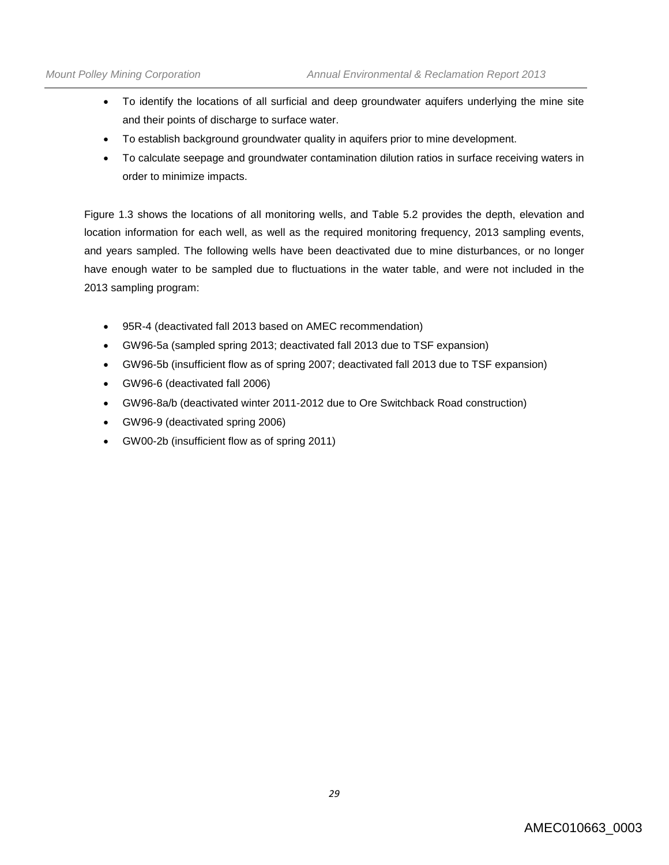- To identify the locations of all surficial and deep groundwater aquifers underlying the mine site and their points of discharge to surface water.
- To establish background groundwater quality in aquifers prior to mine development.
- To calculate seepage and groundwater contamination dilution ratios in surface receiving waters in order to minimize impacts.

Figure 1.3 shows the locations of all monitoring wells, and Table 5.2 provides the depth, elevation and location information for each well, as well as the required monitoring frequency, 2013 sampling events, and years sampled. The following wells have been deactivated due to mine disturbances, or no longer have enough water to be sampled due to fluctuations in the water table, and were not included in the 2013 sampling program:

- 95R-4 (deactivated fall 2013 based on AMEC recommendation)
- GW96-5a (sampled spring 2013; deactivated fall 2013 due to TSF expansion)
- GW96-5b (insufficient flow as of spring 2007; deactivated fall 2013 due to TSF expansion)
- GW96-6 (deactivated fall 2006)
- GW96-8a/b (deactivated winter 2011-2012 due to Ore Switchback Road construction)
- GW96-9 (deactivated spring 2006)
- GW00-2b (insufficient flow as of spring 2011)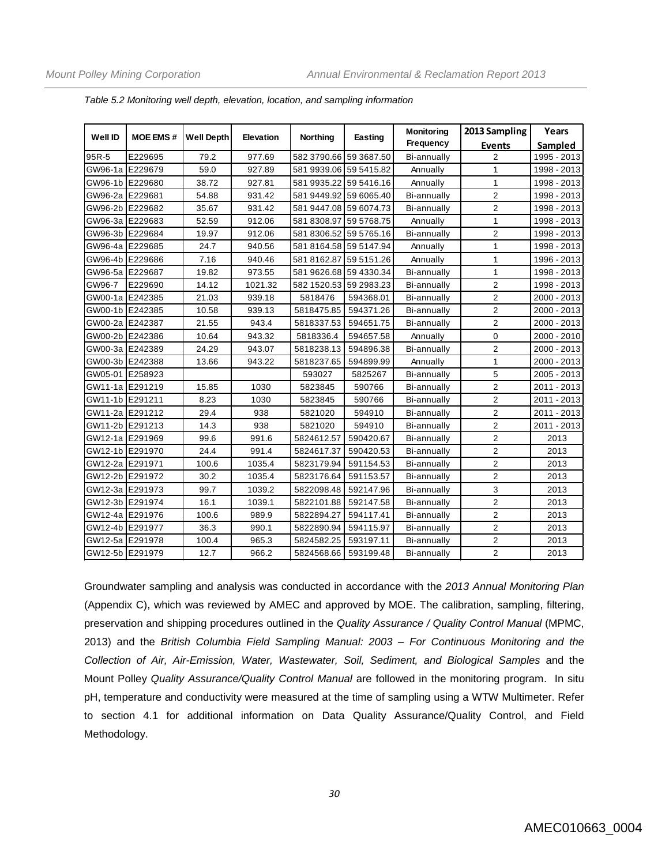| <b>Well ID</b>  | <b>MOE EMS#</b> | <b>Well Depth</b> | Elevation | <b>Northing</b>        | <b>Easting</b> | <b>Monitoring</b>  | 2013 Sampling  | Years       |
|-----------------|-----------------|-------------------|-----------|------------------------|----------------|--------------------|----------------|-------------|
|                 |                 |                   |           |                        |                | Frequency          | <b>Events</b>  | Sampled     |
| 95R-5           | E229695         | 79.2              | 977.69    | 582 3790.66 59 3687.50 |                | Bi-annually        | 2              | 1995 - 2013 |
| GW96-1a E229679 |                 | 59.0              | 927.89    | 581 9939.06 59 5415.82 |                | Annually           | $\mathbf{1}$   | 1998 - 2013 |
| GW96-1b E229680 |                 | 38.72             | 927.81    | 581 9935.22 59 5416.16 |                | Annually           | 1              | 1998 - 2013 |
| GW96-2a E229681 |                 | 54.88             | 931.42    | 581 9449.92 59 6065.40 |                | Bi-annually        | $\overline{2}$ | 1998 - 2013 |
| GW96-2b E229682 |                 | 35.67             | 931.42    | 581 9447.08 59 6074.73 |                | Bi-annually        | $\overline{2}$ | 1998 - 2013 |
| GW96-3a E229683 |                 | 52.59             | 912.06    | 581 8308.97            | 59 5768.75     | Annually           | 1              | 1998 - 2013 |
| GW96-3b E229684 |                 | 19.97             | 912.06    | 581 8306.52 59 5765.16 |                | Bi-annually        | $\overline{2}$ | 1998 - 2013 |
| GW96-4a E229685 |                 | 24.7              | 940.56    | 581 8164.58 59 5147.94 |                | Annually           | 1              | 1998 - 2013 |
| GW96-4b E229686 |                 | 7.16              | 940.46    | 581 8162.87            | 59 5151.26     | Annually           | $\mathbf{1}$   | 1996 - 2013 |
| GW96-5a E229687 |                 | 19.82             | 973.55    | 581 9626.68 59 4330.34 |                | Bi-annually        | 1              | 1998 - 2013 |
| GW96-7          | E229690         | 14.12             | 1021.32   | 582 1520.53 59 2983.23 |                | Bi-annually        | $\overline{c}$ | 1998 - 2013 |
| GW00-1a E242385 |                 | 21.03             | 939.18    | 5818476                | 594368.01      | Bi-annually        | $\overline{2}$ | 2000 - 2013 |
| GW00-1b E242385 |                 | 10.58             | 939.13    | 5818475.85             | 594371.26      | Bi-annually        | $\overline{2}$ | 2000 - 2013 |
| GW00-2a E242387 |                 | 21.55             | 943.4     | 5818337.53             | 594651.75      | Bi-annually        | $\overline{2}$ | 2000 - 2013 |
| GW00-2b E242386 |                 | 10.64             | 943.32    | 5818336.4              | 594657.58      | Annually           | $\mathbf 0$    | 2000 - 2010 |
| GW00-3a E242389 |                 | 24.29             | 943.07    | 5818238.13             | 594896.38      | Bi-annually        | $\overline{c}$ | 2000 - 2013 |
| GW00-3b E242388 |                 | 13.66             | 943.22    | 5818237.65             | 594899.99      | Annually           | 1              | 2000 - 2013 |
| GW05-01 E258923 |                 |                   |           | 593027                 | 5825267        | Bi-annually        | 5              | 2005 - 2013 |
| GW11-1a E291219 |                 | 15.85             | 1030      | 5823845                | 590766         | <b>Bi-annually</b> | $\overline{2}$ | 2011 - 2013 |
| GW11-1b E291211 |                 | 8.23              | 1030      | 5823845                | 590766         | Bi-annually        | $\overline{2}$ | 2011 - 2013 |
| GW11-2a E291212 |                 | 29.4              | 938       | 5821020                | 594910         | Bi-annually        | $\overline{c}$ | 2011 - 2013 |
| GW11-2b E291213 |                 | 14.3              | 938       | 5821020                | 594910         | Bi-annually        | $\overline{2}$ | 2011 - 2013 |
| GW12-1a E291969 |                 | 99.6              | 991.6     | 5824612.57             | 590420.67      | Bi-annually        | $\overline{2}$ | 2013        |
| GW12-1b E291970 |                 | 24.4              | 991.4     | 5824617.37             | 590420.53      | <b>Bi-annually</b> | $\overline{2}$ | 2013        |
| GW12-2a E291971 |                 | 100.6             | 1035.4    | 5823179.94             | 591154.53      | Bi-annually        | $\overline{2}$ | 2013        |
| GW12-2b E291972 |                 | 30.2              | 1035.4    | 5823176.64             | 591153.57      | Bi-annually        | $\overline{2}$ | 2013        |
| GW12-3a E291973 |                 | 99.7              | 1039.2    | 5822098.48             | 592147.96      | Bi-annually        | 3              | 2013        |
| GW12-3b E291974 |                 | 16.1              | 1039.1    | 5822101.88             | 592147.58      | Bi-annually        | $\overline{2}$ | 2013        |
| GW12-4a E291976 |                 | 100.6             | 989.9     | 5822894.27             | 594117.41      | Bi-annually        | $\overline{c}$ | 2013        |
| GW12-4b E291977 |                 | 36.3              | 990.1     | 5822890.94             | 594115.97      | Bi-annually        | $\overline{c}$ | 2013        |
| GW12-5a E291978 |                 | 100.4             | 965.3     | 5824582.25             | 593197.11      | Bi-annually        | $\overline{c}$ | 2013        |
| GW12-5b E291979 |                 | 12.7              | 966.2     | 5824568.66             | 593199.48      | Bi-annually        | $\overline{c}$ | 2013        |

*Table 5.2 Monitoring well depth, elevation, location, and sampling information*

Groundwater sampling and analysis was conducted in accordance with the *2013 Annual Monitoring Plan* (Appendix C), which was reviewed by AMEC and approved by MOE. The calibration, sampling, filtering, preservation and shipping procedures outlined in the *Quality Assurance / Quality Control Manual* (MPMC, 2013) and the *British Columbia Field Sampling Manual: 2003 – For Continuous Monitoring and the Collection of Air, Air-Emission, Water, Wastewater, Soil, Sediment, and Biological Samples* and the Mount Polley *Quality Assurance/Quality Control Manual* are followed in the monitoring program. In situ pH, temperature and conductivity were measured at the time of sampling using a WTW Multimeter. Refer to section 4.1 for additional information on Data Quality Assurance/Quality Control, and Field Methodology.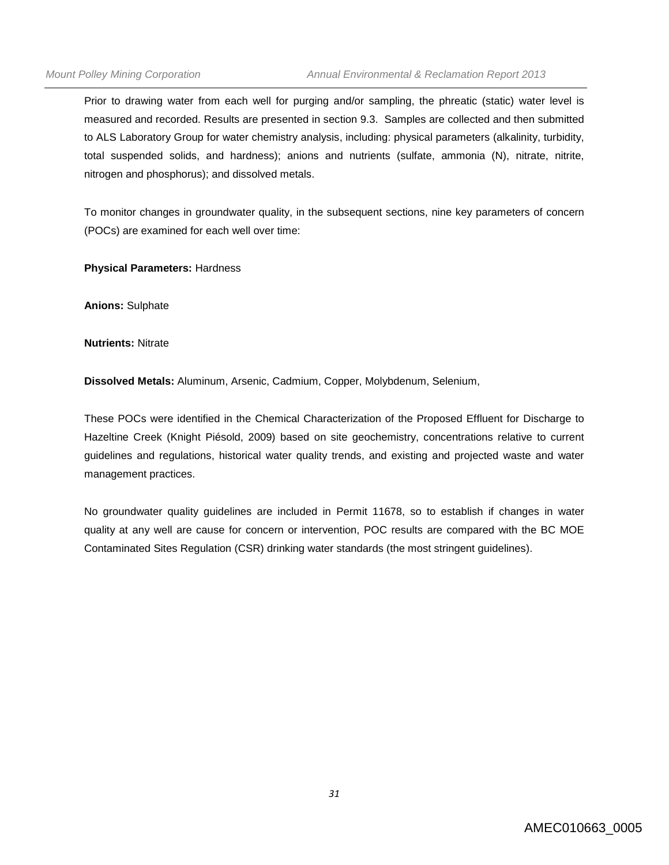Prior to drawing water from each well for purging and/or sampling, the phreatic (static) water level is measured and recorded. Results are presented in section 9.3. Samples are collected and then submitted to ALS Laboratory Group for water chemistry analysis, including: physical parameters (alkalinity, turbidity, total suspended solids, and hardness); anions and nutrients (sulfate, ammonia (N), nitrate, nitrite, nitrogen and phosphorus); and dissolved metals.

To monitor changes in groundwater quality, in the subsequent sections, nine key parameters of concern (POCs) are examined for each well over time:

**Physical Parameters:** Hardness

**Anions:** Sulphate

**Nutrients:** Nitrate

**Dissolved Metals:** Aluminum, Arsenic, Cadmium, Copper, Molybdenum, Selenium,

These POCs were identified in the Chemical Characterization of the Proposed Effluent for Discharge to Hazeltine Creek (Knight Piésold, 2009) based on site geochemistry, concentrations relative to current guidelines and regulations, historical water quality trends, and existing and projected waste and water management practices.

No groundwater quality guidelines are included in Permit 11678, so to establish if changes in water quality at any well are cause for concern or intervention, POC results are compared with the BC MOE Contaminated Sites Regulation (CSR) drinking water standards (the most stringent guidelines).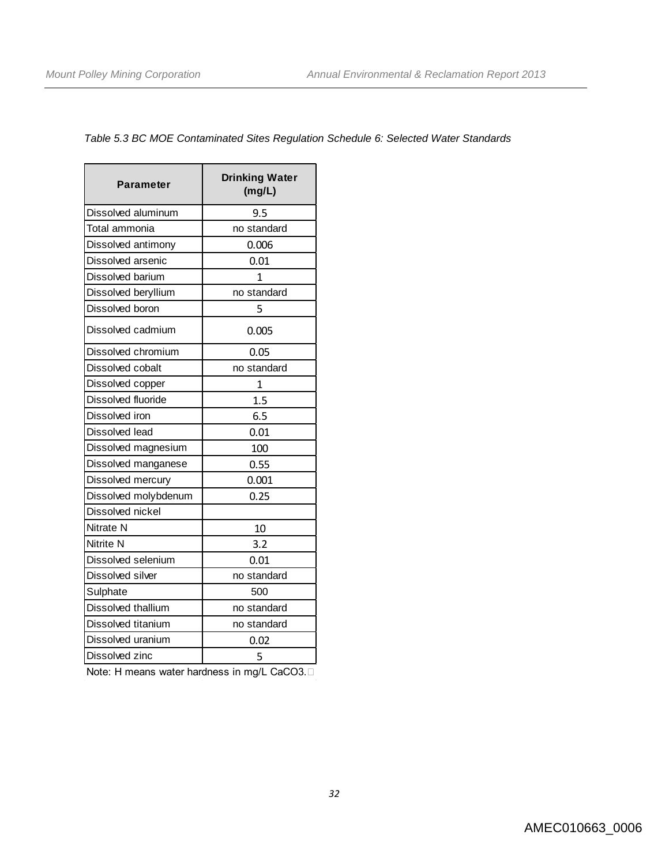# *Table 5.3 BC MOE Contaminated Sites Regulation Schedule 6: Selected Water Standards*

| Parameter            | <b>Drinking Water</b><br>(mg/L) |  |  |  |
|----------------------|---------------------------------|--|--|--|
| Dissolved aluminum   | 9.5                             |  |  |  |
| Total ammonia        | no standard                     |  |  |  |
| Dissolved antimony   | 0.006                           |  |  |  |
| Dissolved arsenic    | 0.01                            |  |  |  |
| Dissolved barium     | 1                               |  |  |  |
| Dissolved beryllium  | no standard                     |  |  |  |
| Dissolved boron      | 5                               |  |  |  |
| Dissolved cadmium    | 0.005                           |  |  |  |
| Dissolved chromium   | 0.05                            |  |  |  |
| Dissolved cobalt     | no standard                     |  |  |  |
| Dissolved copper     | 1                               |  |  |  |
| Dissolved fluoride   | 1.5                             |  |  |  |
| Dissolved iron       | 6.5                             |  |  |  |
| Dissolved lead       | 0.01                            |  |  |  |
| Dissolved magnesium  | 100                             |  |  |  |
| Dissolved manganese  | 0.55                            |  |  |  |
| Dissolved mercury    | 0.001                           |  |  |  |
| Dissolved molybdenum | 0.25                            |  |  |  |
| Dissolved nickel     |                                 |  |  |  |
| Nitrate N            | 10                              |  |  |  |
| Nitrite N            | 3.2                             |  |  |  |
| Dissolved selenium   | 0.01                            |  |  |  |
| Dissolved silver     | no standard                     |  |  |  |
| Sulphate             | 500                             |  |  |  |
| Dissolved thallium   | no standard                     |  |  |  |
| Dissolved titanium   | no standard                     |  |  |  |
| Dissolved uranium    | 0.02                            |  |  |  |
| Dissolved zinc       | 5                               |  |  |  |

Note: H means water hardness in mg/L CaCO3.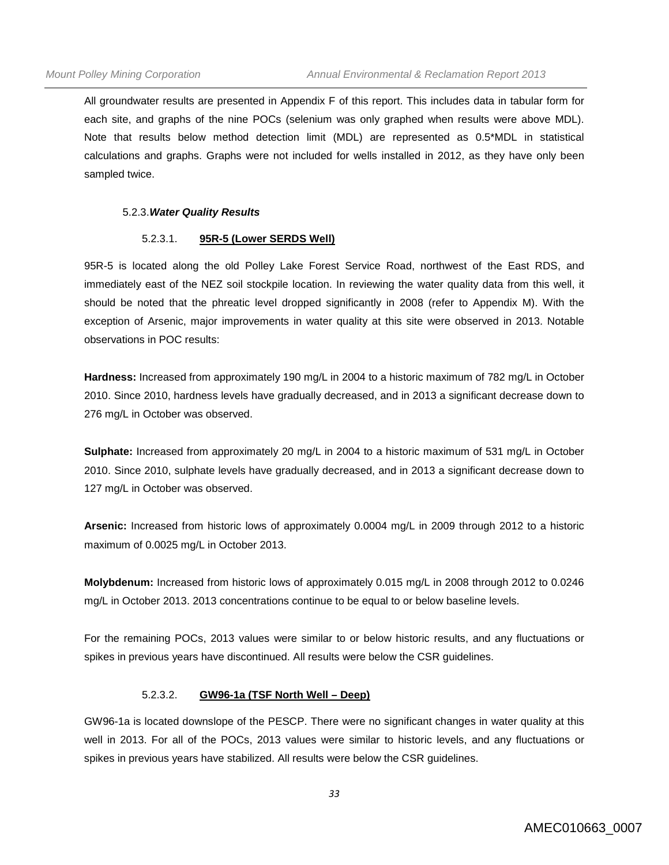All groundwater results are presented in Appendix F of this report. This includes data in tabular form for each site, and graphs of the nine POCs (selenium was only graphed when results were above MDL). Note that results below method detection limit (MDL) are represented as 0.5\*MDL in statistical calculations and graphs. Graphs were not included for wells installed in 2012, as they have only been sampled twice.

#### 5.2.3.*Water Quality Results*

#### 5.2.3.1. **95R-5 (Lower SERDS Well)**

95R-5 is located along the old Polley Lake Forest Service Road, northwest of the East RDS, and immediately east of the NEZ soil stockpile location. In reviewing the water quality data from this well, it should be noted that the phreatic level dropped significantly in 2008 (refer to Appendix M). With the exception of Arsenic, major improvements in water quality at this site were observed in 2013. Notable observations in POC results:

**Hardness:** Increased from approximately 190 mg/L in 2004 to a historic maximum of 782 mg/L in October 2010. Since 2010, hardness levels have gradually decreased, and in 2013 a significant decrease down to 276 mg/L in October was observed.

**Sulphate:** Increased from approximately 20 mg/L in 2004 to a historic maximum of 531 mg/L in October 2010. Since 2010, sulphate levels have gradually decreased, and in 2013 a significant decrease down to 127 mg/L in October was observed.

**Arsenic:** Increased from historic lows of approximately 0.0004 mg/L in 2009 through 2012 to a historic maximum of 0.0025 mg/L in October 2013.

**Molybdenum:** Increased from historic lows of approximately 0.015 mg/L in 2008 through 2012 to 0.0246 mg/L in October 2013. 2013 concentrations continue to be equal to or below baseline levels.

For the remaining POCs, 2013 values were similar to or below historic results, and any fluctuations or spikes in previous years have discontinued. All results were below the CSR guidelines.

#### 5.2.3.2. **GW96-1a (TSF North Well – Deep)**

GW96-1a is located downslope of the PESCP. There were no significant changes in water quality at this well in 2013. For all of the POCs, 2013 values were similar to historic levels, and any fluctuations or spikes in previous years have stabilized. All results were below the CSR guidelines.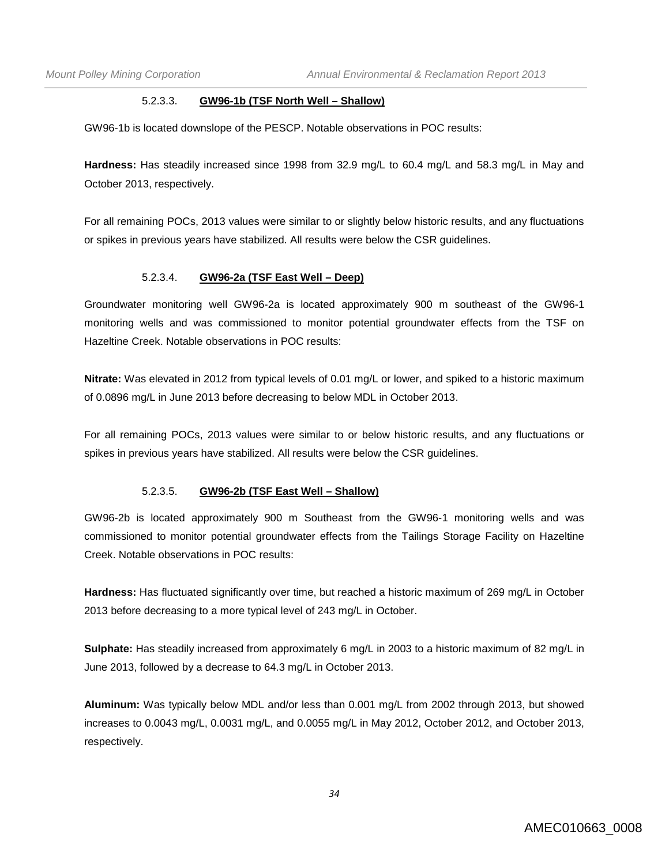#### 5.2.3.3. **GW96-1b (TSF North Well – Shallow)**

GW96-1b is located downslope of the PESCP. Notable observations in POC results:

**Hardness:** Has steadily increased since 1998 from 32.9 mg/L to 60.4 mg/L and 58.3 mg/L in May and October 2013, respectively.

For all remaining POCs, 2013 values were similar to or slightly below historic results, and any fluctuations or spikes in previous years have stabilized. All results were below the CSR guidelines.

#### 5.2.3.4. **GW96-2a (TSF East Well – Deep)**

Groundwater monitoring well GW96-2a is located approximately 900 m southeast of the GW96-1 monitoring wells and was commissioned to monitor potential groundwater effects from the TSF on Hazeltine Creek. Notable observations in POC results:

**Nitrate:** Was elevated in 2012 from typical levels of 0.01 mg/L or lower, and spiked to a historic maximum of 0.0896 mg/L in June 2013 before decreasing to below MDL in October 2013.

For all remaining POCs, 2013 values were similar to or below historic results, and any fluctuations or spikes in previous years have stabilized. All results were below the CSR guidelines.

### 5.2.3.5. **GW96-2b (TSF East Well – Shallow)**

GW96-2b is located approximately 900 m Southeast from the GW96-1 monitoring wells and was commissioned to monitor potential groundwater effects from the Tailings Storage Facility on Hazeltine Creek. Notable observations in POC results:

**Hardness:** Has fluctuated significantly over time, but reached a historic maximum of 269 mg/L in October 2013 before decreasing to a more typical level of 243 mg/L in October.

**Sulphate:** Has steadily increased from approximately 6 mg/L in 2003 to a historic maximum of 82 mg/L in June 2013, followed by a decrease to 64.3 mg/L in October 2013.

**Aluminum:** Was typically below MDL and/or less than 0.001 mg/L from 2002 through 2013, but showed increases to 0.0043 mg/L, 0.0031 mg/L, and 0.0055 mg/L in May 2012, October 2012, and October 2013, respectively.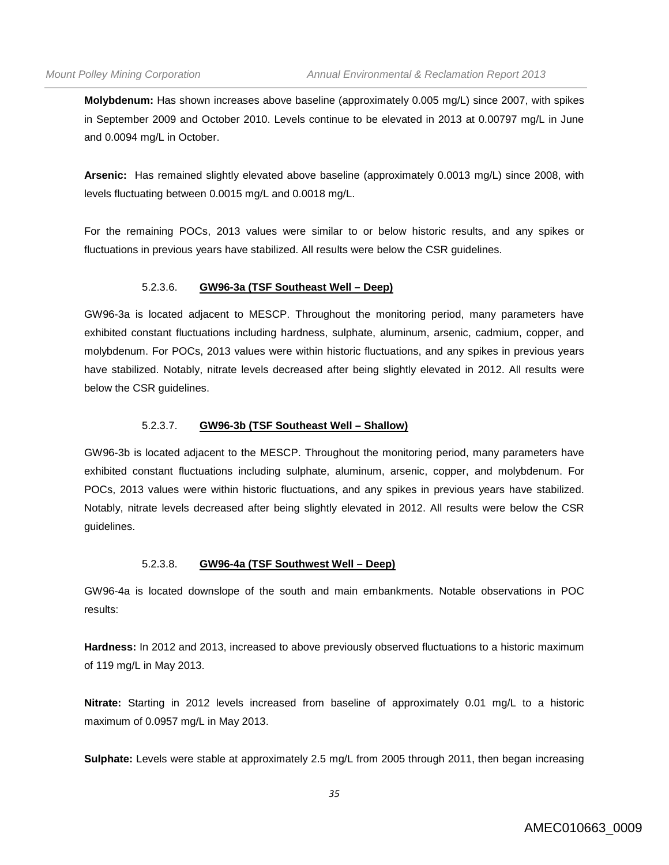**Molybdenum:** Has shown increases above baseline (approximately 0.005 mg/L) since 2007, with spikes in September 2009 and October 2010. Levels continue to be elevated in 2013 at 0.00797 mg/L in June and 0.0094 mg/L in October.

**Arsenic:** Has remained slightly elevated above baseline (approximately 0.0013 mg/L) since 2008, with levels fluctuating between 0.0015 mg/L and 0.0018 mg/L.

For the remaining POCs, 2013 values were similar to or below historic results, and any spikes or fluctuations in previous years have stabilized. All results were below the CSR guidelines.

#### 5.2.3.6. **GW96-3a (TSF Southeast Well – Deep)**

GW96-3a is located adjacent to MESCP. Throughout the monitoring period, many parameters have exhibited constant fluctuations including hardness, sulphate, aluminum, arsenic, cadmium, copper, and molybdenum. For POCs, 2013 values were within historic fluctuations, and any spikes in previous years have stabilized. Notably, nitrate levels decreased after being slightly elevated in 2012. All results were below the CSR guidelines.

#### 5.2.3.7. **GW96-3b (TSF Southeast Well – Shallow)**

GW96-3b is located adjacent to the MESCP. Throughout the monitoring period, many parameters have exhibited constant fluctuations including sulphate, aluminum, arsenic, copper, and molybdenum. For POCs, 2013 values were within historic fluctuations, and any spikes in previous years have stabilized. Notably, nitrate levels decreased after being slightly elevated in 2012. All results were below the CSR guidelines.

### 5.2.3.8. **GW96-4a (TSF Southwest Well – Deep)**

GW96-4a is located downslope of the south and main embankments. Notable observations in POC results:

**Hardness:** In 2012 and 2013, increased to above previously observed fluctuations to a historic maximum of 119 mg/L in May 2013.

**Nitrate:** Starting in 2012 levels increased from baseline of approximately 0.01 mg/L to a historic maximum of 0.0957 mg/L in May 2013.

**Sulphate:** Levels were stable at approximately 2.5 mg/L from 2005 through 2011, then began increasing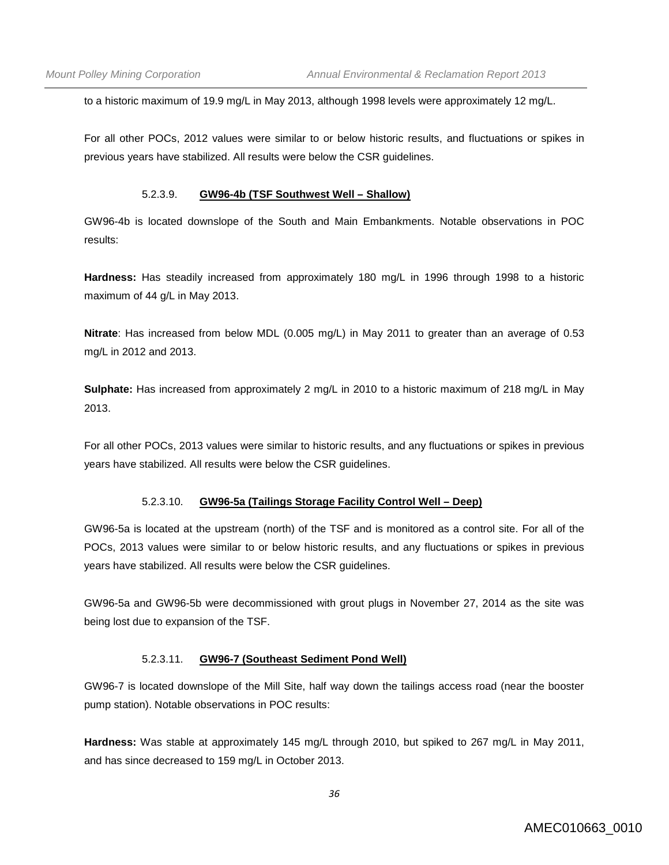to a historic maximum of 19.9 mg/L in May 2013, although 1998 levels were approximately 12 mg/L.

For all other POCs, 2012 values were similar to or below historic results, and fluctuations or spikes in previous years have stabilized. All results were below the CSR guidelines.

#### 5.2.3.9. **GW96-4b (TSF Southwest Well – Shallow)**

GW96-4b is located downslope of the South and Main Embankments. Notable observations in POC results:

**Hardness:** Has steadily increased from approximately 180 mg/L in 1996 through 1998 to a historic maximum of 44 g/L in May 2013.

**Nitrate**: Has increased from below MDL (0.005 mg/L) in May 2011 to greater than an average of 0.53 mg/L in 2012 and 2013.

**Sulphate:** Has increased from approximately 2 mg/L in 2010 to a historic maximum of 218 mg/L in May 2013.

For all other POCs, 2013 values were similar to historic results, and any fluctuations or spikes in previous years have stabilized. All results were below the CSR guidelines.

### 5.2.3.10. **GW96-5a (Tailings Storage Facility Control Well – Deep)**

GW96-5a is located at the upstream (north) of the TSF and is monitored as a control site. For all of the POCs, 2013 values were similar to or below historic results, and any fluctuations or spikes in previous years have stabilized. All results were below the CSR guidelines.

GW96-5a and GW96-5b were decommissioned with grout plugs in November 27, 2014 as the site was being lost due to expansion of the TSF.

### 5.2.3.11. **GW96-7 (Southeast Sediment Pond Well)**

GW96-7 is located downslope of the Mill Site, half way down the tailings access road (near the booster pump station). Notable observations in POC results:

**Hardness:** Was stable at approximately 145 mg/L through 2010, but spiked to 267 mg/L in May 2011, and has since decreased to 159 mg/L in October 2013.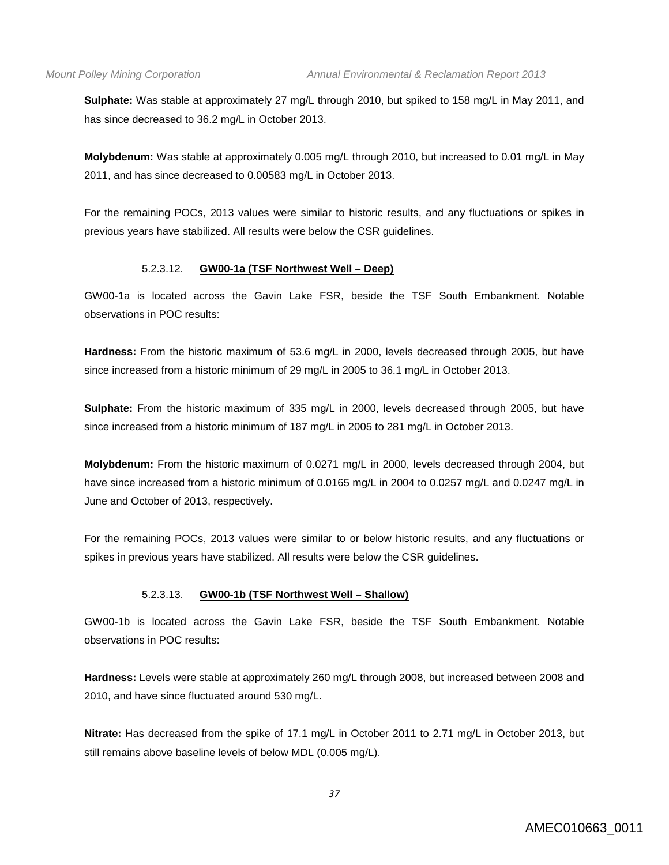**Sulphate:** Was stable at approximately 27 mg/L through 2010, but spiked to 158 mg/L in May 2011, and has since decreased to 36.2 mg/L in October 2013.

**Molybdenum:** Was stable at approximately 0.005 mg/L through 2010, but increased to 0.01 mg/L in May 2011, and has since decreased to 0.00583 mg/L in October 2013.

For the remaining POCs, 2013 values were similar to historic results, and any fluctuations or spikes in previous years have stabilized. All results were below the CSR guidelines.

### 5.2.3.12. **GW00-1a (TSF Northwest Well – Deep)**

GW00-1a is located across the Gavin Lake FSR, beside the TSF South Embankment. Notable observations in POC results:

**Hardness:** From the historic maximum of 53.6 mg/L in 2000, levels decreased through 2005, but have since increased from a historic minimum of 29 mg/L in 2005 to 36.1 mg/L in October 2013.

**Sulphate:** From the historic maximum of 335 mg/L in 2000, levels decreased through 2005, but have since increased from a historic minimum of 187 mg/L in 2005 to 281 mg/L in October 2013.

**Molybdenum:** From the historic maximum of 0.0271 mg/L in 2000, levels decreased through 2004, but have since increased from a historic minimum of 0.0165 mg/L in 2004 to 0.0257 mg/L and 0.0247 mg/L in June and October of 2013, respectively.

For the remaining POCs, 2013 values were similar to or below historic results, and any fluctuations or spikes in previous years have stabilized. All results were below the CSR guidelines.

### 5.2.3.13. **GW00-1b (TSF Northwest Well – Shallow)**

GW00-1b is located across the Gavin Lake FSR, beside the TSF South Embankment. Notable observations in POC results:

**Hardness:** Levels were stable at approximately 260 mg/L through 2008, but increased between 2008 and 2010, and have since fluctuated around 530 mg/L.

**Nitrate:** Has decreased from the spike of 17.1 mg/L in October 2011 to 2.71 mg/L in October 2013, but still remains above baseline levels of below MDL (0.005 mg/L).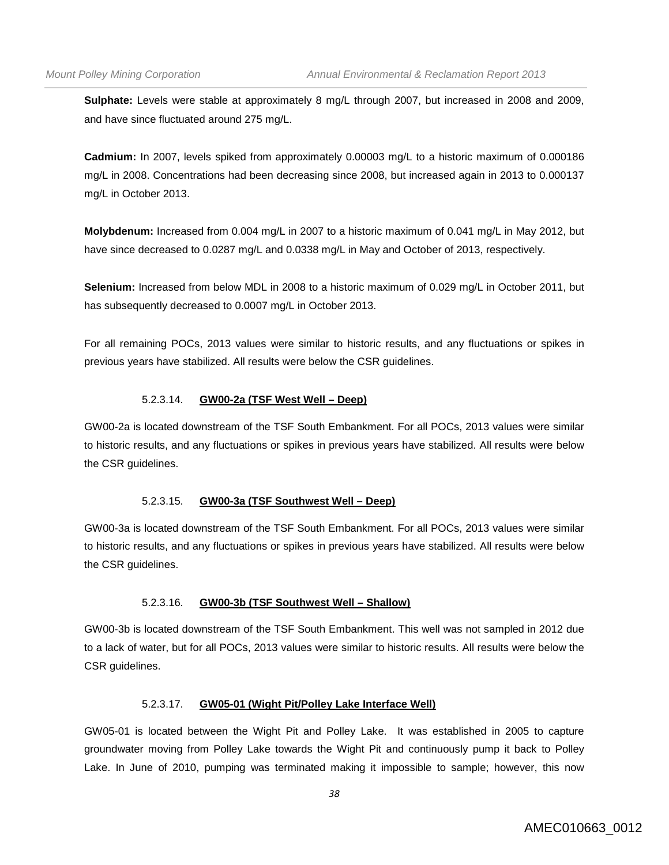**Sulphate:** Levels were stable at approximately 8 mg/L through 2007, but increased in 2008 and 2009, and have since fluctuated around 275 mg/L.

**Cadmium:** In 2007, levels spiked from approximately 0.00003 mg/L to a historic maximum of 0.000186 mg/L in 2008. Concentrations had been decreasing since 2008, but increased again in 2013 to 0.000137 mg/L in October 2013.

**Molybdenum:** Increased from 0.004 mg/L in 2007 to a historic maximum of 0.041 mg/L in May 2012, but have since decreased to 0.0287 mg/L and 0.0338 mg/L in May and October of 2013, respectively.

**Selenium:** Increased from below MDL in 2008 to a historic maximum of 0.029 mg/L in October 2011, but has subsequently decreased to 0.0007 mg/L in October 2013.

For all remaining POCs, 2013 values were similar to historic results, and any fluctuations or spikes in previous years have stabilized. All results were below the CSR guidelines.

### 5.2.3.14. **GW00-2a (TSF West Well – Deep)**

GW00-2a is located downstream of the TSF South Embankment. For all POCs, 2013 values were similar to historic results, and any fluctuations or spikes in previous years have stabilized. All results were below the CSR guidelines.

### 5.2.3.15. **GW00-3a (TSF Southwest Well – Deep)**

GW00-3a is located downstream of the TSF South Embankment. For all POCs, 2013 values were similar to historic results, and any fluctuations or spikes in previous years have stabilized. All results were below the CSR guidelines.

### 5.2.3.16. **GW00-3b (TSF Southwest Well – Shallow)**

GW00-3b is located downstream of the TSF South Embankment. This well was not sampled in 2012 due to a lack of water, but for all POCs, 2013 values were similar to historic results. All results were below the CSR guidelines.

### 5.2.3.17. **GW05-01 (Wight Pit/Polley Lake Interface Well)**

GW05-01 is located between the Wight Pit and Polley Lake. It was established in 2005 to capture groundwater moving from Polley Lake towards the Wight Pit and continuously pump it back to Polley Lake. In June of 2010, pumping was terminated making it impossible to sample; however, this now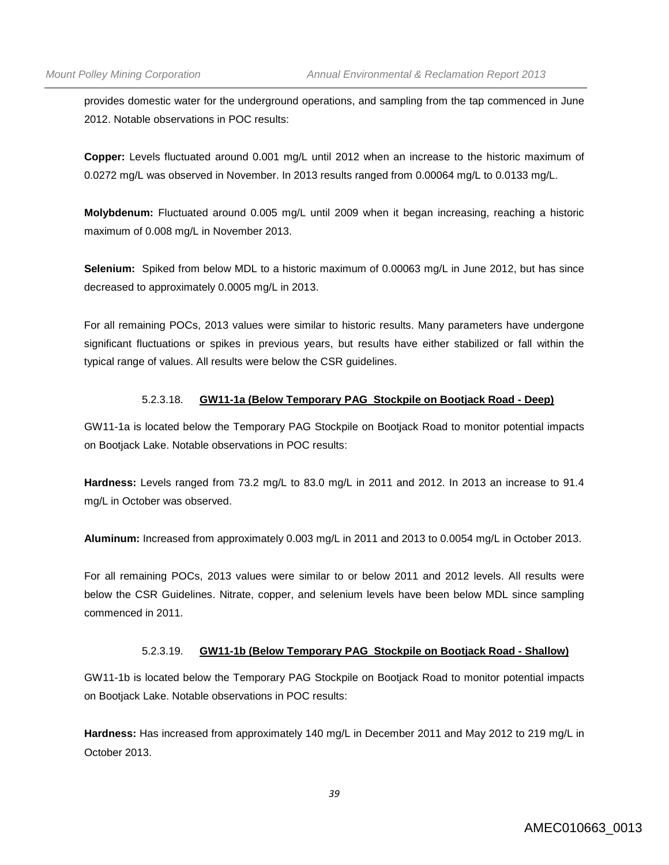provides domestic water for the underground operations, and sampling from the tap commenced in June 2012. Notable observations in POC results:

**Copper:** Levels fluctuated around 0.001 mg/L until 2012 when an increase to the historic maximum of 0.0272 mg/L was observed in November. In 2013 results ranged from 0.00064 mg/L to 0.0133 mg/L.

**Molybdenum:** Fluctuated around 0.005 mg/L until 2009 when it began increasing, reaching a historic maximum of 0.008 mg/L in November 2013.

**Selenium:** Spiked from below MDL to a historic maximum of 0.00063 mg/L in June 2012, but has since decreased to approximately 0.0005 mg/L in 2013.

For all remaining POCs, 2013 values were similar to historic results. Many parameters have undergone significant fluctuations or spikes in previous years, but results have either stabilized or fall within the typical range of values. All results were below the CSR guidelines.

# 5.2.3.18. **GW11-1a (Below Temporary PAG Stockpile on Bootjack Road - Deep)**

GW11-1a is located below the Temporary PAG Stockpile on Bootjack Road to monitor potential impacts on Bootjack Lake. Notable observations in POC results:

**Hardness:** Levels ranged from 73.2 mg/L to 83.0 mg/L in 2011 and 2012. In 2013 an increase to 91.4 mg/L in October was observed.

**Aluminum:** Increased from approximately 0.003 mg/L in 2011 and 2013 to 0.0054 mg/L in October 2013.

For all remaining POCs, 2013 values were similar to or below 2011 and 2012 levels. All results were below the CSR Guidelines. Nitrate, copper, and selenium levels have been below MDL since sampling commenced in 2011.

### 5.2.3.19. **GW11-1b (Below Temporary PAG Stockpile on Bootjack Road - Shallow)**

GW11-1b is located below the Temporary PAG Stockpile on Bootjack Road to monitor potential impacts on Bootjack Lake. Notable observations in POC results:

**Hardness:** Has increased from approximately 140 mg/L in December 2011 and May 2012 to 219 mg/L in October 2013.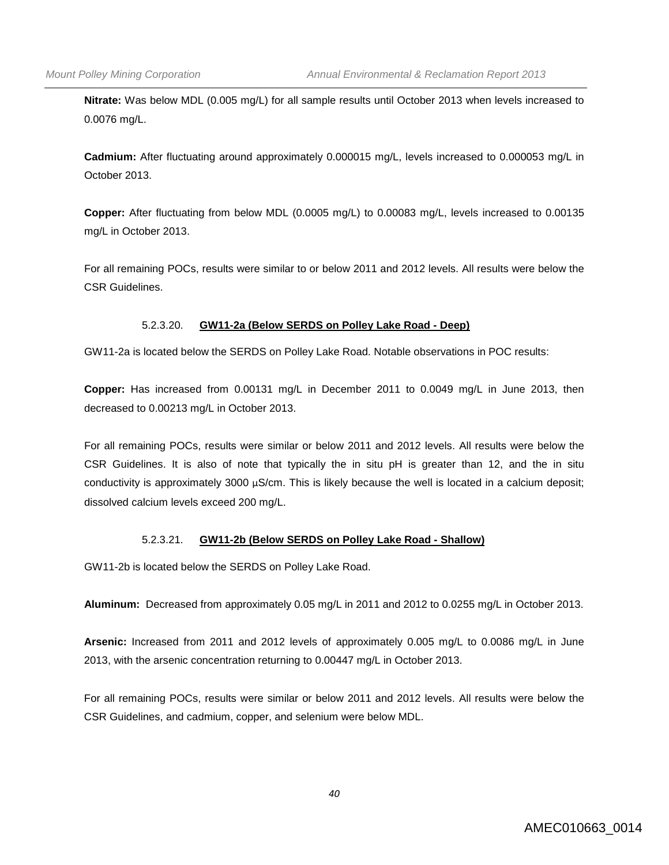**Nitrate:** Was below MDL (0.005 mg/L) for all sample results until October 2013 when levels increased to 0.0076 mg/L.

**Cadmium:** After fluctuating around approximately 0.000015 mg/L, levels increased to 0.000053 mg/L in October 2013.

**Copper:** After fluctuating from below MDL (0.0005 mg/L) to 0.00083 mg/L, levels increased to 0.00135 mg/L in October 2013.

For all remaining POCs, results were similar to or below 2011 and 2012 levels. All results were below the CSR Guidelines.

# 5.2.3.20. **GW11-2a (Below SERDS on Polley Lake Road - Deep)**

GW11-2a is located below the SERDS on Polley Lake Road. Notable observations in POC results:

**Copper:** Has increased from 0.00131 mg/L in December 2011 to 0.0049 mg/L in June 2013, then decreased to 0.00213 mg/L in October 2013.

For all remaining POCs, results were similar or below 2011 and 2012 levels. All results were below the CSR Guidelines. It is also of note that typically the in situ pH is greater than 12, and the in situ conductivity is approximately 3000 µS/cm. This is likely because the well is located in a calcium deposit; dissolved calcium levels exceed 200 mg/L.

### 5.2.3.21. **GW11-2b (Below SERDS on Polley Lake Road - Shallow)**

GW11-2b is located below the SERDS on Polley Lake Road.

**Aluminum:** Decreased from approximately 0.05 mg/L in 2011 and 2012 to 0.0255 mg/L in October 2013.

**Arsenic:** Increased from 2011 and 2012 levels of approximately 0.005 mg/L to 0.0086 mg/L in June 2013, with the arsenic concentration returning to 0.00447 mg/L in October 2013.

For all remaining POCs, results were similar or below 2011 and 2012 levels. All results were below the CSR Guidelines, and cadmium, copper, and selenium were below MDL.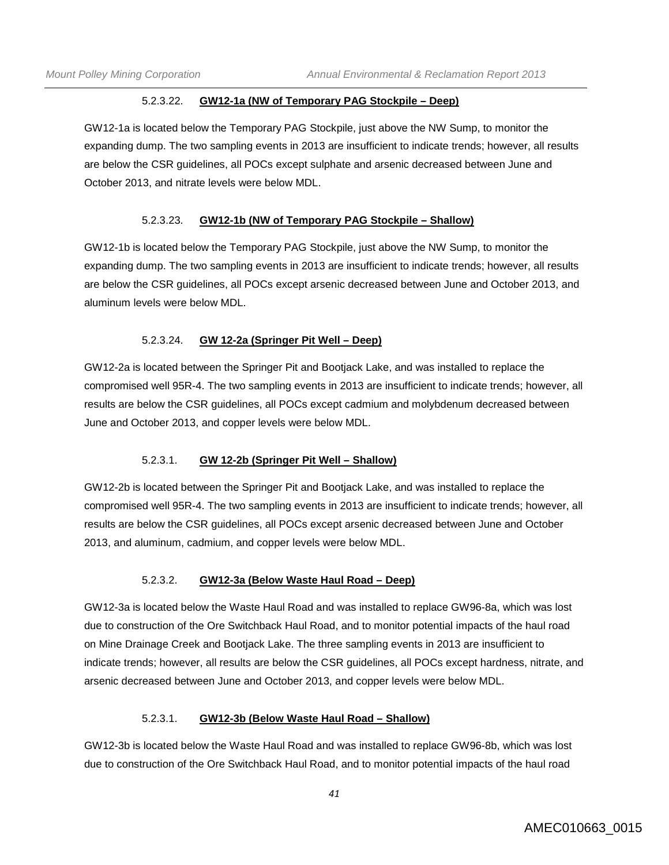### 5.2.3.22. **GW12-1a (NW of Temporary PAG Stockpile – Deep)**

GW12-1a is located below the Temporary PAG Stockpile, just above the NW Sump, to monitor the expanding dump. The two sampling events in 2013 are insufficient to indicate trends; however, all results are below the CSR guidelines, all POCs except sulphate and arsenic decreased between June and October 2013, and nitrate levels were below MDL.

### 5.2.3.23. **GW12-1b (NW of Temporary PAG Stockpile – Shallow)**

GW12-1b is located below the Temporary PAG Stockpile, just above the NW Sump, to monitor the expanding dump. The two sampling events in 2013 are insufficient to indicate trends; however, all results are below the CSR guidelines, all POCs except arsenic decreased between June and October 2013, and aluminum levels were below MDL.

### 5.2.3.24. **GW 12-2a (Springer Pit Well – Deep)**

GW12-2a is located between the Springer Pit and Bootjack Lake, and was installed to replace the compromised well 95R-4. The two sampling events in 2013 are insufficient to indicate trends; however, all results are below the CSR guidelines, all POCs except cadmium and molybdenum decreased between June and October 2013, and copper levels were below MDL.

### 5.2.3.1. **GW 12-2b (Springer Pit Well – Shallow)**

GW12-2b is located between the Springer Pit and Bootjack Lake, and was installed to replace the compromised well 95R-4. The two sampling events in 2013 are insufficient to indicate trends; however, all results are below the CSR guidelines, all POCs except arsenic decreased between June and October 2013, and aluminum, cadmium, and copper levels were below MDL.

### 5.2.3.2. **GW12-3a (Below Waste Haul Road – Deep)**

GW12-3a is located below the Waste Haul Road and was installed to replace GW96-8a, which was lost due to construction of the Ore Switchback Haul Road, and to monitor potential impacts of the haul road on Mine Drainage Creek and Bootjack Lake. The three sampling events in 2013 are insufficient to indicate trends; however, all results are below the CSR guidelines, all POCs except hardness, nitrate, and arsenic decreased between June and October 2013, and copper levels were below MDL.

### 5.2.3.1. **GW12-3b (Below Waste Haul Road – Shallow)**

GW12-3b is located below the Waste Haul Road and was installed to replace GW96-8b, which was lost due to construction of the Ore Switchback Haul Road, and to monitor potential impacts of the haul road